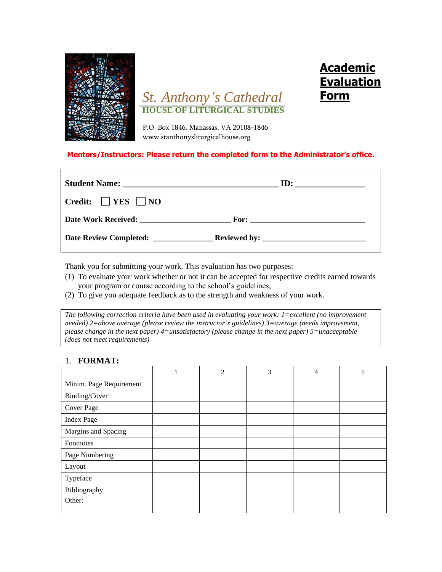

# *St. Anthony's Cathedral*  **HOUSE OF LITURGICAL STUDIES**

**Academic Evaluation** 

**Form**

P.O. Box 1846, Manassas, VA 20108-1846 www.stanthonysliturgicalhouse.org

#### **Mentors/Instructors: Please return the completed form to the Administrator's office.**

| Credit: $ $   YES     NO |  |
|--------------------------|--|
|                          |  |
|                          |  |

Thank you for submitting your work. This evaluation has two purposes:

- (1) To evaluate your work whether or not it can be accepted for respective credits earned towards your program or course according to the school's guidelines;
- (2) To give you adequate feedback as to the strength and weakness of your work.

*The following correction criteria have been used in evaluating your work: 1=excellent (no improvement needed) 2=above average (please review the instructor's guidelines) 3=average (needs improvement, please change in the next paper) 4=unsatisfactory (please change in the next paper) 5=unacceptable (does not meet requirements)*

#### 1. **FORMAT:**

|                         | 1 | 2 | 3 | 4 | 5 |
|-------------------------|---|---|---|---|---|
| Minim. Page Requirement |   |   |   |   |   |
| Binding/Cover           |   |   |   |   |   |
| Cover Page              |   |   |   |   |   |
| <b>Index Page</b>       |   |   |   |   |   |
| Margins and Spacing     |   |   |   |   |   |
| Footnotes               |   |   |   |   |   |
| Page Numbering          |   |   |   |   |   |
| Layout                  |   |   |   |   |   |
| Typeface                |   |   |   |   |   |
| Bibliography            |   |   |   |   |   |
| Other:                  |   |   |   |   |   |